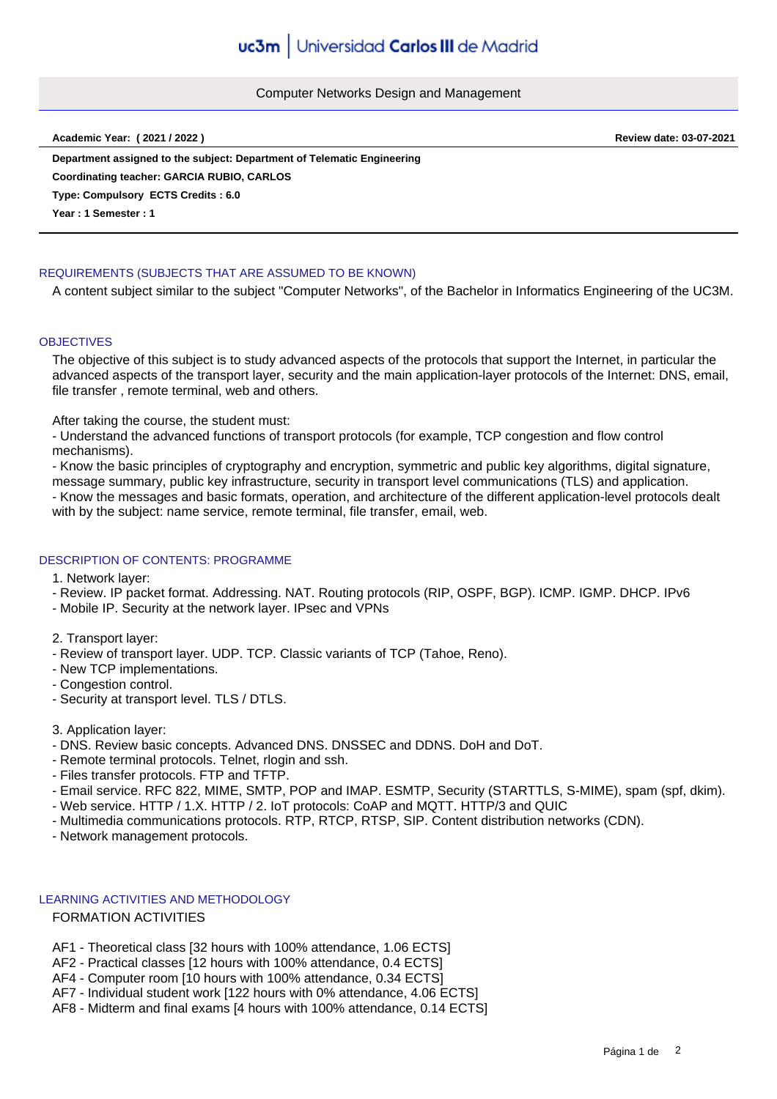#### Computer Networks Design and Management

**Academic Year: ( 2021 / 2022 ) Review date: 03-07-2021**

**Department assigned to the subject: Department of Telematic Engineering Type: Compulsory ECTS Credits : 6.0 Year : 1 Semester : 1 Coordinating teacher: GARCIA RUBIO, CARLOS**

# REQUIREMENTS (SUBJECTS THAT ARE ASSUMED TO BE KNOWN)

A content subject similar to the subject "Computer Networks", of the Bachelor in Informatics Engineering of the UC3M.

# **OBJECTIVES**

The objective of this subject is to study advanced aspects of the protocols that support the Internet, in particular the advanced aspects of the transport layer, security and the main application-layer protocols of the Internet: DNS, email, file transfer , remote terminal, web and others.

After taking the course, the student must:

- Understand the advanced functions of transport protocols (for example, TCP congestion and flow control mechanisms).

- Know the basic principles of cryptography and encryption, symmetric and public key algorithms, digital signature,

message summary, public key infrastructure, security in transport level communications (TLS) and application.

- Know the messages and basic formats, operation, and architecture of the different application-level protocols dealt with by the subject: name service, remote terminal, file transfer, email, web.

# DESCRIPTION OF CONTENTS: PROGRAMME

1. Network layer:

- Review. IP packet format. Addressing. NAT. Routing protocols (RIP, OSPF, BGP). ICMP. IGMP. DHCP. IPv6
- Mobile IP. Security at the network layer. IPsec and VPNs

2. Transport layer:

- Review of transport layer. UDP. TCP. Classic variants of TCP (Tahoe, Reno).
- New TCP implementations.
- Congestion control.
- Security at transport level. TLS / DTLS.
- 3. Application layer:
- DNS. Review basic concepts. Advanced DNS. DNSSEC and DDNS. DoH and DoT.
- Remote terminal protocols. Telnet, rlogin and ssh.
- Files transfer protocols. FTP and TFTP.
- Email service. RFC 822, MIME, SMTP, POP and IMAP. ESMTP, Security (STARTTLS, S-MIME), spam (spf, dkim).
- Web service. HTTP / 1.X. HTTP / 2. IoT protocols: CoAP and MQTT. HTTP/3 and QUIC
- Multimedia communications protocols. RTP, RTCP, RTSP, SIP. Content distribution networks (CDN).
- Network management protocols.

### LEARNING ACTIVITIES AND METHODOLOGY

# FORMATION ACTIVITIES

- AF1 Theoretical class [32 hours with 100% attendance, 1.06 ECTS]
- AF2 Practical classes [12 hours with 100% attendance, 0.4 ECTS]
- AF4 Computer room [10 hours with 100% attendance, 0.34 ECTS]
- AF7 Individual student work [122 hours with 0% attendance, 4.06 ECTS]
- AF8 Midterm and final exams [4 hours with 100% attendance, 0.14 ECTS]